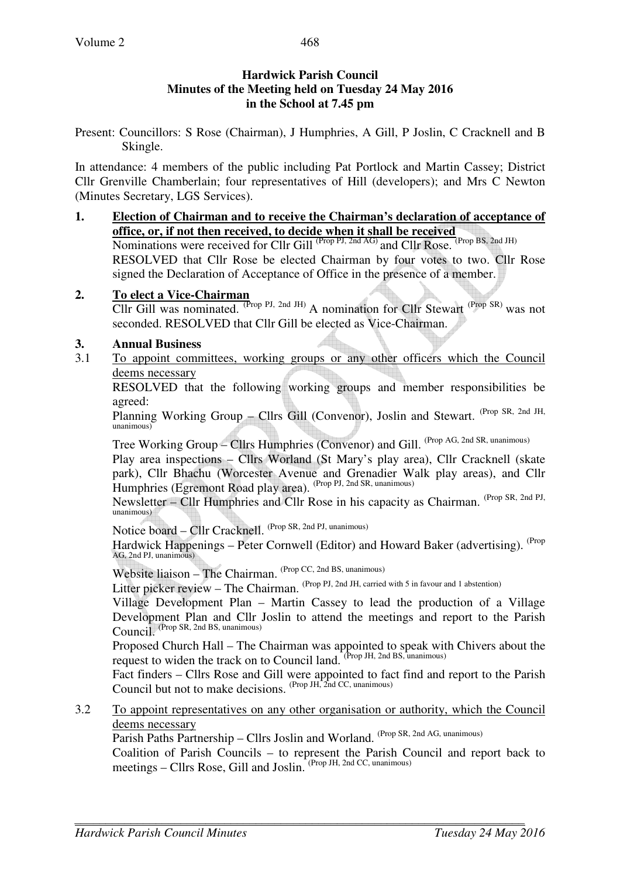### **Hardwick Parish Council Minutes of the Meeting held on Tuesday 24 May 2016 in the School at 7.45 pm**

Present: Councillors: S Rose (Chairman), J Humphries, A Gill, P Joslin, C Cracknell and B Skingle.

In attendance: 4 members of the public including Pat Portlock and Martin Cassey; District Cllr Grenville Chamberlain; four representatives of Hill (developers); and Mrs C Newton (Minutes Secretary, LGS Services).

**1. Election of Chairman and to receive the Chairman's declaration of acceptance of office, or, if not then received, to decide when it shall be received** Nominations were received for Cllr Gill <sup>(Prop PJ, 2nd AG)</sup> and Cllr Rose. <sup>(Prop BS, 2nd JH)</sup> RESOLVED that Cllr Rose be elected Chairman by four votes to two. Cllr Rose signed the Declaration of Acceptance of Office in the presence of a member.

### **2. To elect a Vice-Chairman**

Cllr Gill was nominated. (Prop PJ, 2nd JH) A nomination for Cllr Stewart (Prop SR) was not seconded. RESOLVED that Cllr Gill be elected as Vice-Chairman.

# **3. Annual Business**

3.1 To appoint committees, working groups or any other officers which the Council deems necessary

 RESOLVED that the following working groups and member responsibilities be agreed:

Planning Working Group – Cllrs Gill (Convenor), Joslin and Stewart. (Prop SR, 2nd JH, unanimous)

Tree Working Group – Cllrs Humphries (Convenor) and Gill. (Prop AG, 2nd SR, unanimous)

Play area inspections – Cllrs Worland (St Mary's play area), Cllr Cracknell (skate park), Cllr Bhachu (Worcester Avenue and Grenadier Walk play areas), and Cllr Humphries (Egremont Road play area). (Prop PJ, 2nd SR, unanimous)

Newsletter – Cllr Humphries and Cllr Rose in his capacity as Chairman. (Prop SR, 2nd PJ, unanimous)

Notice board – Cllr Cracknell. (Prop SR, 2nd PJ, unanimous)

Hardwick Happenings – Peter Cornwell (Editor) and Howard Baker (advertising). <sup>(Prop</sup>  $AG$ , 2nd PL, unanimous)

Website liaison – The Chairman. <sup>(Prop CC, 2nd BS, unanimous)</sup>

Litter picker review – The Chairman. (Prop PJ, 2nd JH, carried with 5 in favour and 1 abstention)

Village Development Plan – Martin Cassey to lead the production of a Village Development Plan and Cllr Joslin to attend the meetings and report to the Parish Council. (Prop SR, 2nd BS, unanimous)

Proposed Church Hall – The Chairman was appointed to speak with Chivers about the request to widen the track on to Council land. (Prop JH, 2nd BS, unanimous)

Fact finders – Cllrs Rose and Gill were appointed to fact find and report to the Parish Council but not to make decisions. (Prop JH, 2nd CC, unanimous)

3.2 To appoint representatives on any other organisation or authority, which the Council deems necessary

Parish Paths Partnership – Cllrs Joslin and Worland. (Prop SR, 2nd AG, unanimous)

Coalition of Parish Councils – to represent the Parish Council and report back to meetings – Cllrs Rose, Gill and Joslin. <sup>(Prop JH, 2nd CC, unanimous)</sup>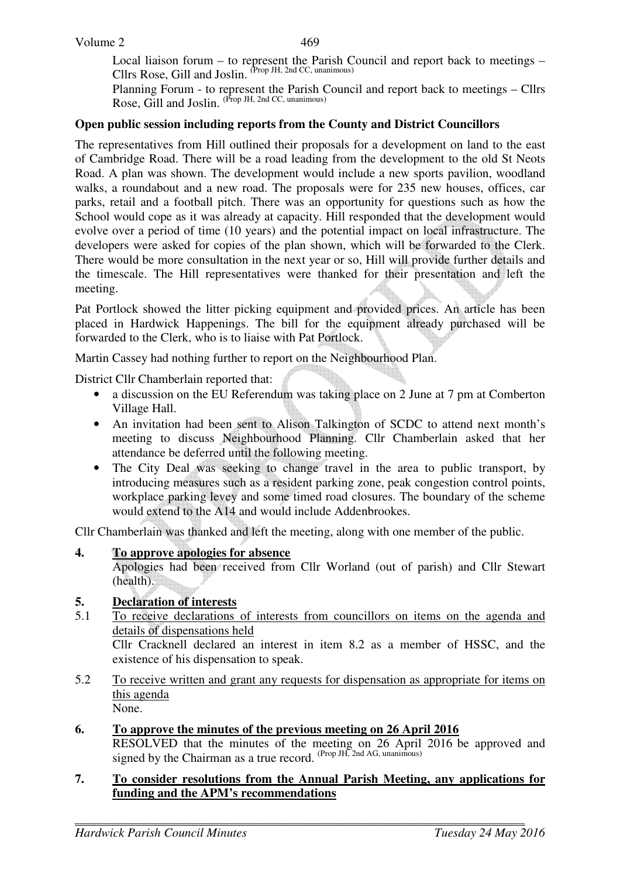Local liaison forum – to represent the Parish Council and report back to meetings – Cllrs Rose, Gill and Joslin. (Prop JH, 2nd CC, unanimous)

Planning Forum - to represent the Parish Council and report back to meetings – Cllrs Rose, Gill and Joslin. <sup>(Prop JH, 2nd CC, unanimous)</sup>

#### **Open public session including reports from the County and District Councillors**

The representatives from Hill outlined their proposals for a development on land to the east of Cambridge Road. There will be a road leading from the development to the old St Neots Road. A plan was shown. The development would include a new sports pavilion, woodland walks, a roundabout and a new road. The proposals were for 235 new houses, offices, car parks, retail and a football pitch. There was an opportunity for questions such as how the School would cope as it was already at capacity. Hill responded that the development would evolve over a period of time (10 years) and the potential impact on local infrastructure. The developers were asked for copies of the plan shown, which will be forwarded to the Clerk. There would be more consultation in the next year or so, Hill will provide further details and the timescale. The Hill representatives were thanked for their presentation and left the meeting.

Pat Portlock showed the litter picking equipment and provided prices. An article has been placed in Hardwick Happenings. The bill for the equipment already purchased will be forwarded to the Clerk, who is to liaise with Pat Portlock.

Martin Cassey had nothing further to report on the Neighbourhood Plan.

District Cllr Chamberlain reported that:

- a discussion on the EU Referendum was taking place on 2 June at 7 pm at Comberton Village Hall.
- An invitation had been sent to Alison Talkington of SCDC to attend next month's meeting to discuss Neighbourhood Planning. Cllr Chamberlain asked that her attendance be deferred until the following meeting.
- The City Deal was seeking to change travel in the area to public transport, by introducing measures such as a resident parking zone, peak congestion control points, workplace parking levey and some timed road closures. The boundary of the scheme would extend to the A14 and would include Addenbrookes.

Cllr Chamberlain was thanked and left the meeting, along with one member of the public.

### **4. To approve apologies for absence**

Apologies had been received from Cllr Worland (out of parish) and Cllr Stewart (health).

### **5. Declaration of interests**

- 5.1 To receive declarations of interests from councillors on items on the agenda and details of dispensations held Cllr Cracknell declared an interest in item 8.2 as a member of HSSC, and the existence of his dispensation to speak.
- 5.2 To receive written and grant any requests for dispensation as appropriate for items on this agenda None.
- **6. To approve the minutes of the previous meeting on 26 April 2016**  RESOLVED that the minutes of the meeting on 26 April 2016 be approved and signed by the Chairman as a true record.  $P_{\text{top}}$  JH,  $2$ <sub>nd</sub> AG, unanimous)

#### **7. To consider resolutions from the Annual Parish Meeting, any applications for funding and the APM's recommendations**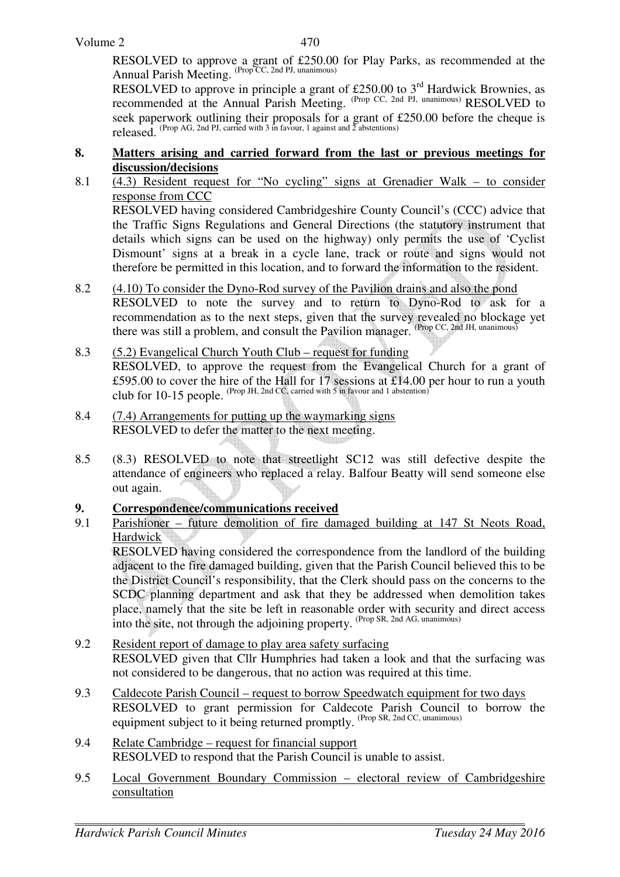RESOLVED to approve a grant of £250.00 for Play Parks, as recommended at the Annual Parish Meeting. (Prop CC, 2nd PJ, unanimous)

RESOLVED to approve in principle a grant of £250.00 to  $3<sup>rd</sup>$  Hardwick Brownies, as recommended at the Annual Parish Meeting. (Prop CC, 2nd PJ, unanimous) RESOLVED to seek paperwork outlining their proposals for a grant of £250.00 before the cheque is released. (Prop AG, 2nd PJ, carried with 3 in favour, 1 against and  $\overline{2}$  abstentions)

## **8. Matters arising and carried forward from the last or previous meetings for discussion/decisions**

- 8.1 (4.3) Resident request for "No cycling" signs at Grenadier Walk to consider response from CCC RESOLVED having considered Cambridgeshire County Council's (CCC) advice that the Traffic Signs Regulations and General Directions (the statutory instrument that details which signs can be used on the highway) only permits the use of 'Cyclist Dismount' signs at a break in a cycle lane, track or route and signs would not
- 8.2 (4.10) To consider the Dyno-Rod survey of the Pavilion drains and also the pond

RESOLVED to note the survey and to return to Dyno-Rod to ask for a recommendation as to the next steps, given that the survey revealed no blockage yet there was still a problem, and consult the Pavilion manager. (Prop CC, 2nd JH, unanimous)

therefore be permitted in this location, and to forward the information to the resident.

- 8.3 (5.2) Evangelical Church Youth Club request for funding RESOLVED, to approve the request from the Evangelical Church for a grant of £595.00 to cover the hire of the Hall for 17 sessions at £14.00 per hour to run a youth club for 10-15 people. (Prop JH, 2nd CC, carried with 5 in favour and 1 abstention)
- 8.4 (7.4) Arrangements for putting up the waymarking signs RESOLVED to defer the matter to the next meeting.
- 8.5 (8.3) RESOLVED to note that streetlight SC12 was still defective despite the attendance of engineers who replaced a relay. Balfour Beatty will send someone else out again.

### **9. Correspondence/communications received**

9.1 Parishioner – future demolition of fire damaged building at 147 St Neots Road, Hardwick

RESOLVED having considered the correspondence from the landlord of the building adjacent to the fire damaged building, given that the Parish Council believed this to be the District Council's responsibility, that the Clerk should pass on the concerns to the SCDC planning department and ask that they be addressed when demolition takes place, namely that the site be left in reasonable order with security and direct access into the site, not through the adjoining property. (Prop SR, 2nd AG, unanimous)

- 9.2 Resident report of damage to play area safety surfacing RESOLVED given that Cllr Humphries had taken a look and that the surfacing was not considered to be dangerous, that no action was required at this time.
- 9.3 Caldecote Parish Council request to borrow Speedwatch equipment for two days RESOLVED to grant permission for Caldecote Parish Council to borrow the equipment subject to it being returned promptly. (Prop SR, 2nd CC, unanimous)
- 9.4 Relate Cambridge request for financial support RESOLVED to respond that the Parish Council is unable to assist.
- 9.5 Local Government Boundary Commission electoral review of Cambridgeshire consultation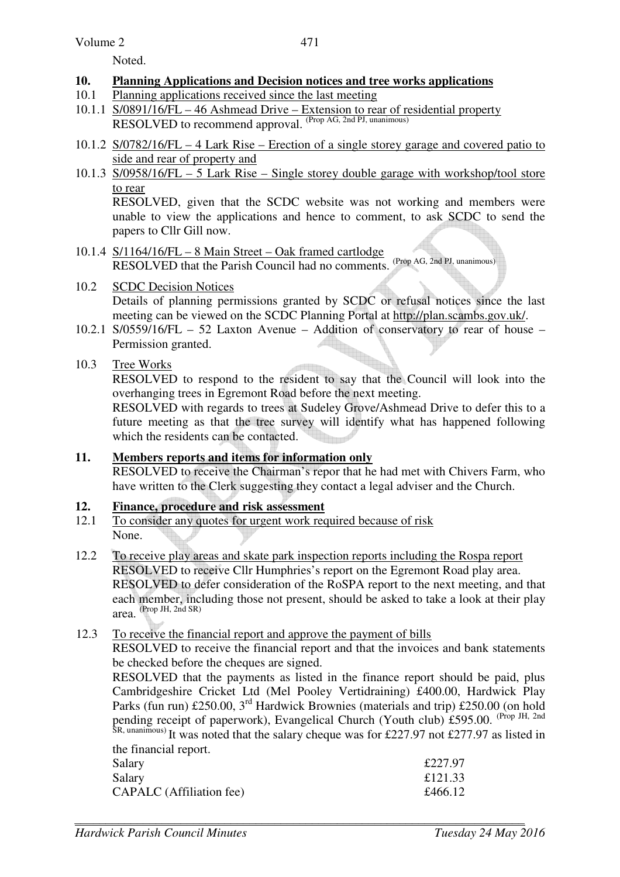Noted.

# **10. Planning Applications and Decision notices and tree works applications**

- 10.1 Planning applications received since the last meeting
- 10.1.1 S/0891/16/FL 46 Ashmead Drive Extension to rear of residential property RESOLVED to recommend approval. (Prop AG, 2nd PJ, unanimous)
- 10.1.2 S/0782/16/FL 4 Lark Rise Erection of a single storey garage and covered patio to side and rear of property and
- 10.1.3 S/0958/16/FL 5 Lark Rise Single storey double garage with workshop/tool store to rear

 RESOLVED, given that the SCDC website was not working and members were unable to view the applications and hence to comment, to ask SCDC to send the papers to Cllr Gill now.

10.1.4 S/1164/16/FL – 8 Main Street – Oak framed cartlodge RESOLVED that the Parish Council had no comments. (Prop AG, 2nd PJ, unanimous)

# 10.2 SCDC Decision Notices Details of planning permissions granted by SCDC or refusal notices since the last

meeting can be viewed on the SCDC Planning Portal at http://plan.scambs.gov.uk/. 10.2.1 S/0559/16/FL – 52 Laxton Avenue – Addition of conservatory to rear of house –

Permission granted.

# 10.3 Tree Works

 RESOLVED to respond to the resident to say that the Council will look into the overhanging trees in Egremont Road before the next meeting.

 RESOLVED with regards to trees at Sudeley Grove/Ashmead Drive to defer this to a future meeting as that the tree survey will identify what has happened following which the residents can be contacted.

# **11. Members reports and items for information only** RESOLVED to receive the Chairman's repor that he had met with Chivers Farm, who have written to the Clerk suggesting they contact a legal adviser and the Church.

# **12. Finance, procedure and risk assessment**

- 12.1 To consider any quotes for urgent work required because of risk None.
- 12.2 To receive play areas and skate park inspection reports including the Rospa report RESOLVED to receive Cllr Humphries's report on the Egremont Road play area. RESOLVED to defer consideration of the RoSPA report to the next meeting, and that each member, including those not present, should be asked to take a look at their play area. (Prop JH, 2nd SR)

# 12.3 To receive the financial report and approve the payment of bills

RESOLVED to receive the financial report and that the invoices and bank statements be checked before the cheques are signed.

RESOLVED that the payments as listed in the finance report should be paid, plus Cambridgeshire Cricket Ltd (Mel Pooley Vertidraining) £400.00, Hardwick Play Parks (fun run) £250.00, 3<sup>rd</sup> Hardwick Brownies (materials and trip) £250.00 (on hold pending receipt of paperwork), Evangelical Church (Youth club) £595.00. <sup>(Prop JH, 2nd</sup> SR, unanimous) It was noted that the salary cheque was for £227.97 not £277.97 as listed in the financial report.

| Salary                          | £227.97 |
|---------------------------------|---------|
| Salary                          | £121.33 |
| <b>CAPALC</b> (Affiliation fee) | £466.12 |
|                                 |         |